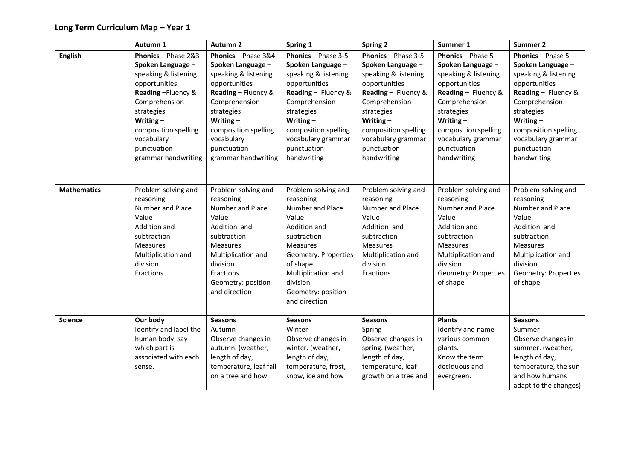|                    | Autumn 1                                                                                                                                                                                                                         | <b>Autumn 2</b>                                                                                                                                                                                                                    | Spring 1                                                                                                                                                                                                                           | <b>Spring 2</b>                                                                                                                                                                                                                    | Summer 1                                                                                                                                                                                                                                | Summer 2                                                                                                                                                                                                                                |
|--------------------|----------------------------------------------------------------------------------------------------------------------------------------------------------------------------------------------------------------------------------|------------------------------------------------------------------------------------------------------------------------------------------------------------------------------------------------------------------------------------|------------------------------------------------------------------------------------------------------------------------------------------------------------------------------------------------------------------------------------|------------------------------------------------------------------------------------------------------------------------------------------------------------------------------------------------------------------------------------|-----------------------------------------------------------------------------------------------------------------------------------------------------------------------------------------------------------------------------------------|-----------------------------------------------------------------------------------------------------------------------------------------------------------------------------------------------------------------------------------------|
| <b>English</b>     | Phonics - Phase 2&3<br>Spoken Language -<br>speaking & listening<br>opportunities<br>Reading-Fluency &<br>Comprehension<br>strategies<br>Writing $-$<br>composition spelling<br>vocabulary<br>punctuation<br>grammar handwriting | Phonics - Phase 3&4<br>Spoken Language -<br>speaking & listening<br>opportunities<br>Reading - Fluency &<br>Comprehension<br>strategies<br>Writing $-$<br>composition spelling<br>vocabulary<br>punctuation<br>grammar handwriting | Phonics - Phase 3-5<br>Spoken Language -<br>speaking & listening<br>opportunities<br>Reading - Fluency &<br>Comprehension<br>strategies<br>Writing $-$<br>composition spelling<br>vocabulary grammar<br>punctuation<br>handwriting | Phonics - Phase 3-5<br>Spoken Language -<br>speaking & listening<br>opportunities<br>Reading - Fluency &<br>Comprehension<br>strategies<br>Writing $-$<br>composition spelling<br>vocabulary grammar<br>punctuation<br>handwriting | <b>Phonics - Phase 5</b><br>Spoken Language -<br>speaking & listening<br>opportunities<br>Reading - Fluency &<br>Comprehension<br>strategies<br>Writing $-$<br>composition spelling<br>vocabulary grammar<br>punctuation<br>handwriting | <b>Phonics</b> - Phase 5<br>Spoken Language -<br>speaking & listening<br>opportunities<br>Reading - Fluency &<br>Comprehension<br>strategies<br>Writing $-$<br>composition spelling<br>vocabulary grammar<br>punctuation<br>handwriting |
| <b>Mathematics</b> | Problem solving and<br>reasoning<br>Number and Place<br>Value<br>Addition and<br>subtraction<br><b>Measures</b><br>Multiplication and<br>division<br>Fractions                                                                   | Problem solving and<br>reasoning<br>Number and Place<br>Value<br>Addition and<br>subtraction<br><b>Measures</b><br>Multiplication and<br>division<br>Fractions<br>Geometry: position<br>and direction                              | Problem solving and<br>reasoning<br>Number and Place<br>Value<br>Addition and<br>subtraction<br><b>Measures</b><br>Geometry: Properties<br>of shape<br>Multiplication and<br>division<br>Geometry: position<br>and direction       | Problem solving and<br>reasoning<br>Number and Place<br>Value<br>Addition and<br>subtraction<br><b>Measures</b><br>Multiplication and<br>division<br>Fractions                                                                     | Problem solving and<br>reasoning<br>Number and Place<br>Value<br>Addition and<br>subtraction<br><b>Measures</b><br>Multiplication and<br>division<br>Geometry: Properties<br>of shape                                                   | Problem solving and<br>reasoning<br>Number and Place<br>Value<br>Addition and<br>subtraction<br><b>Measures</b><br>Multiplication and<br>division<br>Geometry: Properties<br>of shape                                                   |
| <b>Science</b>     | Our body<br>Identify and label the<br>human body, say<br>which part is<br>associated with each<br>sense.                                                                                                                         | <b>Seasons</b><br>Autumn<br>Observe changes in<br>autumn. (weather,<br>length of day,<br>temperature, leaf fall<br>on a tree and how                                                                                               | <b>Seasons</b><br>Winter<br>Observe changes in<br>winter. (weather,<br>length of day,<br>temperature, frost,<br>snow, ice and how                                                                                                  | <b>Seasons</b><br>Spring<br>Observe changes in<br>spring. (weather,<br>length of day,<br>temperature, leaf<br>growth on a tree and                                                                                                 | <b>Plants</b><br>Identify and name<br>various common<br>plants.<br>Know the term<br>deciduous and<br>evergreen.                                                                                                                         | <b>Seasons</b><br>Summer<br>Observe changes in<br>summer. (weather,<br>length of day,<br>temperature, the sun<br>and how humans<br>adapt to the changes)                                                                                |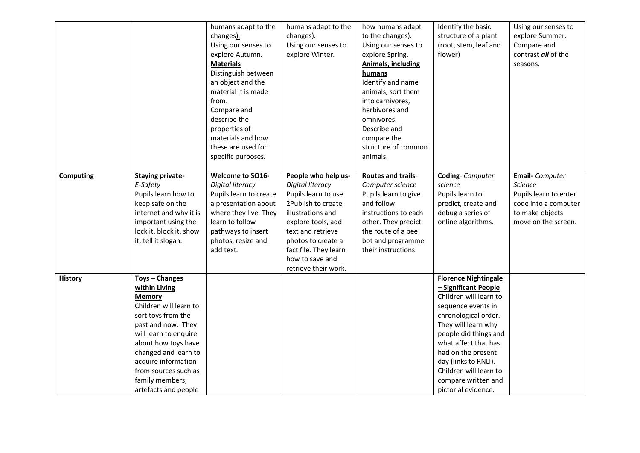|                |                         | humans adapt to the     | humans adapt to the     | how humans adapt          | Identify the basic          | Using our senses to   |
|----------------|-------------------------|-------------------------|-------------------------|---------------------------|-----------------------------|-----------------------|
|                |                         | changes).               | changes).               | to the changes).          | structure of a plant        | explore Summer.       |
|                |                         | Using our senses to     | Using our senses to     | Using our senses to       | (root, stem, leaf and       | Compare and           |
|                |                         | explore Autumn.         | explore Winter.         | explore Spring.           | flower)                     | contrast all of the   |
|                |                         | <b>Materials</b>        |                         | <b>Animals, including</b> |                             | seasons.              |
|                |                         | Distinguish between     |                         | humans                    |                             |                       |
|                |                         | an object and the       |                         | Identify and name         |                             |                       |
|                |                         | material it is made     |                         | animals, sort them        |                             |                       |
|                |                         | from.                   |                         | into carnivores,          |                             |                       |
|                |                         | Compare and             |                         | herbivores and            |                             |                       |
|                |                         | describe the            |                         | omnivores.                |                             |                       |
|                |                         | properties of           |                         | Describe and              |                             |                       |
|                |                         | materials and how       |                         | compare the               |                             |                       |
|                |                         | these are used for      |                         | structure of common       |                             |                       |
|                |                         | specific purposes.      |                         | animals.                  |                             |                       |
|                |                         |                         |                         |                           |                             |                       |
| Computing      | <b>Staying private-</b> | <b>Welcome to SO16-</b> | People who help us-     | <b>Routes and trails-</b> | Coding-Computer             | Email- Computer       |
|                | E-Safety                | Digital literacy        | <b>Digital literacy</b> | Computer science          | science                     | <b>Science</b>        |
|                | Pupils learn how to     | Pupils learn to create  | Pupils learn to use     | Pupils learn to give      | Pupils learn to             | Pupils learn to enter |
|                | keep safe on the        | a presentation about    | 2Publish to create      | and follow                | predict, create and         | code into a computer  |
|                | internet and why it is  | where they live. They   | illustrations and       | instructions to each      | debug a series of           | to make objects       |
|                | important using the     | learn to follow         | explore tools, add      | other. They predict       | online algorithms.          | move on the screen.   |
|                | lock it, block it, show | pathways to insert      | text and retrieve       | the route of a bee        |                             |                       |
|                | it, tell it slogan.     | photos, resize and      | photos to create a      | bot and programme         |                             |                       |
|                |                         | add text.               | fact file. They learn   | their instructions.       |                             |                       |
|                |                         |                         | how to save and         |                           |                             |                       |
|                |                         |                         | retrieve their work.    |                           |                             |                       |
| <b>History</b> | Toys - Changes          |                         |                         |                           | <b>Florence Nightingale</b> |                       |
|                | within Living           |                         |                         |                           | - Significant People        |                       |
|                | <b>Memory</b>           |                         |                         |                           | Children will learn to      |                       |
|                | Children will learn to  |                         |                         |                           | sequence events in          |                       |
|                | sort toys from the      |                         |                         |                           | chronological order.        |                       |
|                | past and now. They      |                         |                         |                           | They will learn why         |                       |
|                | will learn to enquire   |                         |                         |                           | people did things and       |                       |
|                | about how toys have     |                         |                         |                           | what affect that has        |                       |
|                | changed and learn to    |                         |                         |                           | had on the present          |                       |
|                | acquire information     |                         |                         |                           | day (links to RNLI).        |                       |
|                | from sources such as    |                         |                         |                           | Children will learn to      |                       |
|                | family members,         |                         |                         |                           | compare written and         |                       |
|                | artefacts and people    |                         |                         |                           | pictorial evidence.         |                       |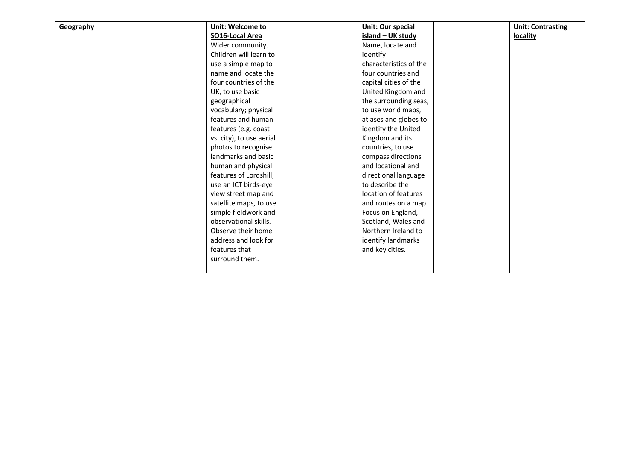| Geography | Unit: Welcome to         | <b>Unit: Our special</b> | <b>Unit: Contrasting</b> |
|-----------|--------------------------|--------------------------|--------------------------|
|           | SO16-Local Area          | island - UK study        | locality                 |
|           | Wider community.         | Name, locate and         |                          |
|           | Children will learn to   | identify                 |                          |
|           | use a simple map to      | characteristics of the   |                          |
|           | name and locate the      | four countries and       |                          |
|           | four countries of the    | capital cities of the    |                          |
|           | UK, to use basic         | United Kingdom and       |                          |
|           | geographical             | the surrounding seas,    |                          |
|           | vocabulary; physical     | to use world maps,       |                          |
|           | features and human       | atlases and globes to    |                          |
|           | features (e.g. coast     | identify the United      |                          |
|           | vs. city), to use aerial | Kingdom and its          |                          |
|           | photos to recognise      | countries, to use        |                          |
|           | landmarks and basic      | compass directions       |                          |
|           | human and physical       | and locational and       |                          |
|           | features of Lordshill,   | directional language     |                          |
|           | use an ICT birds-eye     | to describe the          |                          |
|           | view street map and      | location of features     |                          |
|           | satellite maps, to use   | and routes on a map.     |                          |
|           | simple fieldwork and     | Focus on England,        |                          |
|           | observational skills.    | Scotland, Wales and      |                          |
|           | Observe their home       | Northern Ireland to      |                          |
|           | address and look for     | identify landmarks       |                          |
|           | features that            | and key cities.          |                          |
|           | surround them.           |                          |                          |
|           |                          |                          |                          |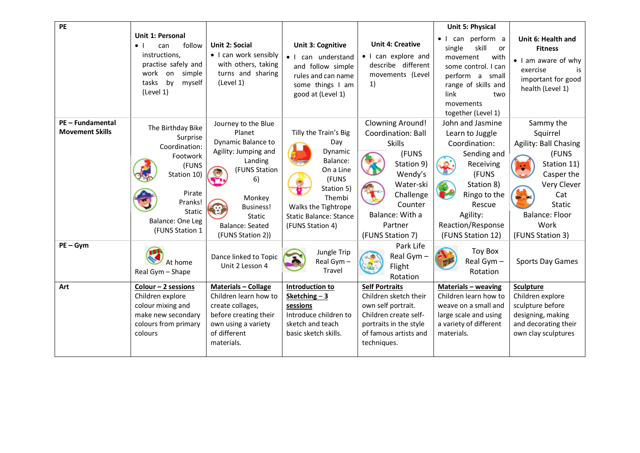| $\overline{PE}$                            |                                                                                                                                                                      |                                                                                                                                                                                                      |                                                                                                                                                                               |                                                                                                                                                                                         | Unit 5: Physical                                                                                                                                                                        |                                                                                                                                                                                  |
|--------------------------------------------|----------------------------------------------------------------------------------------------------------------------------------------------------------------------|------------------------------------------------------------------------------------------------------------------------------------------------------------------------------------------------------|-------------------------------------------------------------------------------------------------------------------------------------------------------------------------------|-----------------------------------------------------------------------------------------------------------------------------------------------------------------------------------------|-----------------------------------------------------------------------------------------------------------------------------------------------------------------------------------------|----------------------------------------------------------------------------------------------------------------------------------------------------------------------------------|
|                                            | <b>Unit 1: Personal</b><br>follow<br>$\bullet$ $\vdash$<br>can<br>instructions,<br>practise safely and<br>work<br>on<br>simple<br>by<br>tasks<br>myself<br>(Level 1) | Unit 2: Social<br>• I can work sensibly<br>with others, taking<br>turns and sharing<br>(Level 1)                                                                                                     | Unit 3: Cognitive<br>can understand<br>$\bullet$ 1<br>and follow simple<br>rules and can name<br>some things I am<br>good at (Level 1)                                        | <b>Unit 4: Creative</b><br>• I can explore and<br>describe different<br>movements (Level<br>1)                                                                                          | • I can perform a<br>skill<br>single<br>or<br>movement<br>with<br>some control. I can<br>perform a small<br>range of skills and<br>link<br>two<br>movements<br>together (Level 1)       | Unit 6: Health and<br><b>Fitness</b><br>• I am aware of why<br>exercise<br>is<br>important for good<br>health (Level 1)                                                          |
| PE - Fundamental<br><b>Movement Skills</b> | The Birthday Bike<br>Surprise<br>Coordination:<br>Footwork<br>(FUNS<br>Station 10)<br>Pirate<br>Pranks!<br>Static<br>Balance: One Leg<br>(FUNS Station 1             | Journey to the Blue<br>Planet<br>Dynamic Balance to<br>Agility: Jumping and<br>Landing<br>(FUNS Station<br>6)<br>Monkey<br><b>Business!</b><br>Static<br><b>Balance: Seated</b><br>(FUNS Station 2)) | Tilly the Train's Big<br>Day<br>Dynamic<br>Balance:<br>On a Line<br>(FUNS<br>Station 5)<br>Thembi<br>Walks the Tightrope<br><b>Static Balance: Stance</b><br>(FUNS Station 4) | <b>Clowning Around!</b><br>Coordination: Ball<br><b>Skills</b><br>(FUNS<br>Station 9)<br>Wendy's<br>Water-ski<br>Challenge<br>Counter<br>Balance: With a<br>Partner<br>(FUNS Station 7) | John and Jasmine<br>Learn to Juggle<br>Coordination:<br>Sending and<br>Receiving<br>(FUNS<br>Station 8)<br>Ringo to the<br>Rescue<br>Agility:<br>Reaction/Response<br>(FUNS Station 12) | Sammy the<br>Squirrel<br>Agility: Ball Chasing<br>(FUNS<br>Station 11)<br>Casper the<br>Very Clever<br>Cat<br><b>Static</b><br><b>Balance: Floor</b><br>Work<br>(FUNS Station 3) |
| $PE-Gym$                                   | At home<br>Real Gym - Shape                                                                                                                                          | Dance linked to Topic<br>Unit 2 Lesson 4                                                                                                                                                             | Jungle Trip<br>Real Gym -<br>Travel                                                                                                                                           | Park Life<br>Real Gym -<br>Flight<br>Rotation                                                                                                                                           | <b>Toy Box</b><br>Real Gym -<br>Rotation                                                                                                                                                | <b>Sports Day Games</b>                                                                                                                                                          |
| Art                                        | Colour - 2 sessions<br>Children explore<br>colour mixing and<br>make new secondary<br>colours from primary<br>colours                                                | <b>Materials - Collage</b><br>Children learn how to<br>create collages,<br>before creating their<br>own using a variety<br>of different<br>materials.                                                | Introduction to<br>Sketching $-3$<br>sessions<br>Introduce children to<br>sketch and teach<br>basic sketch skills.                                                            | <b>Self Portraits</b><br>Children sketch their<br>own self portrait.<br>Children create self-<br>portraits in the style<br>of famous artists and<br>techniques.                         | <b>Materials - weaving</b><br>Children learn how to<br>weave on a small and<br>large scale and using<br>a variety of different<br>materials.                                            | <b>Sculpture</b><br>Children explore<br>sculpture before<br>designing, making<br>and decorating their<br>own clay sculptures                                                     |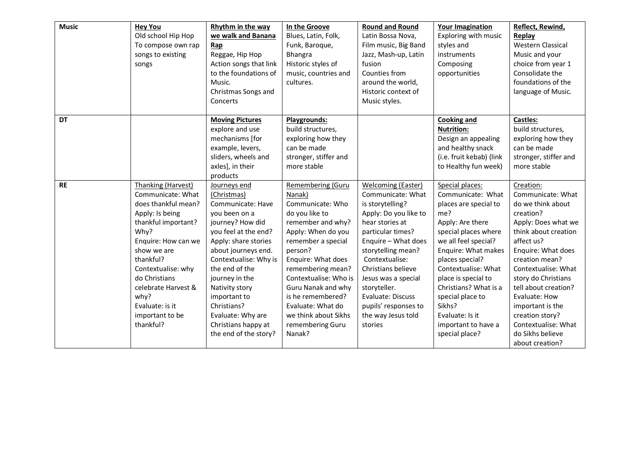| <b>Music</b> | <b>Hey You</b><br>Old school Hip Hop<br>To compose own rap<br>songs to existing<br>songs                                                                                                                                                                                                     | Rhythm in the way<br>we walk and Banana<br>Rap<br>Reggae, Hip Hop<br>Action songs that link<br>to the foundations of<br>Music.<br>Christmas Songs and<br>Concerts                                                                                                                                                                               | In the Groove<br>Blues, Latin, Folk,<br>Funk, Baroque,<br>Bhangra<br>Historic styles of<br>music, countries and<br>cultures.                                                                                                                                                                                                            | <b>Round and Round</b><br>Latin Bossa Nova,<br>Film music, Big Band<br>Jazz, Mash-up, Latin<br>fusion<br>Counties from<br>around the world,<br>Historic context of<br>Music styles.                                                                                                                                                    | <b>Your Imagination</b><br>Exploring with music<br>styles and<br>instruments<br>Composing<br>opportunities                                                                                                                                                                                                                                          | Reflect, Rewind,<br>Replay<br><b>Western Classical</b><br>Music and your<br>choice from year 1<br>Consolidate the<br>foundations of the<br>language of Music.                                                                                                                                                                                                     |
|--------------|----------------------------------------------------------------------------------------------------------------------------------------------------------------------------------------------------------------------------------------------------------------------------------------------|-------------------------------------------------------------------------------------------------------------------------------------------------------------------------------------------------------------------------------------------------------------------------------------------------------------------------------------------------|-----------------------------------------------------------------------------------------------------------------------------------------------------------------------------------------------------------------------------------------------------------------------------------------------------------------------------------------|----------------------------------------------------------------------------------------------------------------------------------------------------------------------------------------------------------------------------------------------------------------------------------------------------------------------------------------|-----------------------------------------------------------------------------------------------------------------------------------------------------------------------------------------------------------------------------------------------------------------------------------------------------------------------------------------------------|-------------------------------------------------------------------------------------------------------------------------------------------------------------------------------------------------------------------------------------------------------------------------------------------------------------------------------------------------------------------|
| DT           |                                                                                                                                                                                                                                                                                              | <b>Moving Pictures</b><br>explore and use<br>mechanisms [for<br>example, levers,<br>sliders, wheels and<br>axles], in their<br>products                                                                                                                                                                                                         | Playgrounds:<br>build structures,<br>exploring how they<br>can be made<br>stronger, stiffer and<br>more stable                                                                                                                                                                                                                          |                                                                                                                                                                                                                                                                                                                                        | <b>Cooking and</b><br><b>Nutrition:</b><br>Design an appealing<br>and healthy snack<br>(i.e. fruit kebab) (link<br>to Healthy fun week)                                                                                                                                                                                                             | Castles:<br>build structures,<br>exploring how they<br>can be made<br>stronger, stiffer and<br>more stable                                                                                                                                                                                                                                                        |
| <b>RE</b>    | Thanking (Harvest)<br>Communicate: What<br>does thankful mean?<br>Apply: Is being<br>thankful important?<br>Why?<br>Enquire: How can we<br>show we are<br>thankful?<br>Contextualise: why<br>do Christians<br>celebrate Harvest &<br>why?<br>Evaluate: is it<br>important to be<br>thankful? | Journeys end<br>(Christmas)<br>Communicate: Have<br>you been on a<br>journey? How did<br>you feel at the end?<br>Apply: share stories<br>about journeys end.<br>Contextualise: Why is<br>the end of the<br>journey in the<br>Nativity story<br>important to<br>Christians?<br>Evaluate: Why are<br>Christians happy at<br>the end of the story? | Remembering (Guru<br>Nanak)<br>Communicate: Who<br>do you like to<br>remember and why?<br>Apply: When do you<br>remember a special<br>person?<br>Enquire: What does<br>remembering mean?<br>Contextualise: Who is<br>Guru Nanak and why<br>is he remembered?<br>Evaluate: What do<br>we think about Sikhs<br>remembering Guru<br>Nanak? | Welcoming (Easter)<br>Communicate: What<br>is storytelling?<br>Apply: Do you like to<br>hear stories at<br>particular times?<br>Enquire - What does<br>storytelling mean?<br>Contextualise:<br>Christians believe<br>Jesus was a special<br>storyteller.<br>Evaluate: Discuss<br>pupils' responses to<br>the way Jesus told<br>stories | Special places:<br>Communicate: What<br>places are special to<br>me?<br>Apply: Are there<br>special places where<br>we all feel special?<br>Enquire: What makes<br>places special?<br>Contextualise: What<br>place is special to<br>Christians? What is a<br>special place to<br>Sikhs?<br>Evaluate: Is it<br>important to have a<br>special place? | Creation:<br>Communicate: What<br>do we think about<br>creation?<br>Apply: Does what we<br>think about creation<br>affect us?<br>Enquire: What does<br>creation mean?<br>Contextualise: What<br>story do Christians<br>tell about creation?<br>Evaluate: How<br>important is the<br>creation story?<br>Contextualise: What<br>do Sikhs believe<br>about creation? |